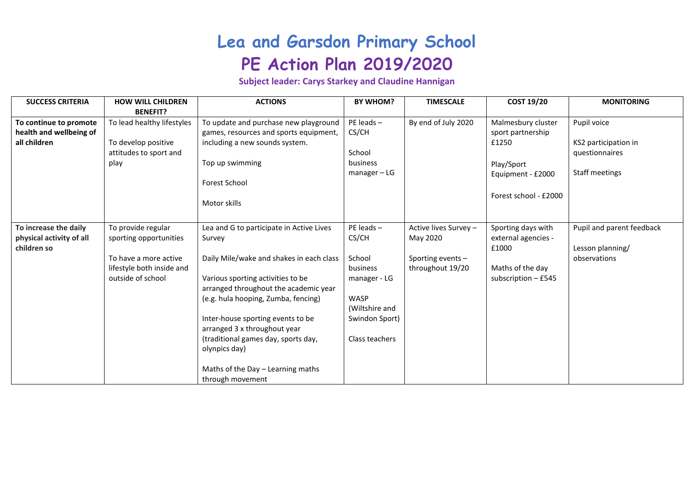## **Lea and Garsdon Primary School PE Action Plan 2019/2020**

**Subject leader: Carys Starkey and Claudine Hannigan**

| <b>SUCCESS CRITERIA</b>                                           | <b>HOW WILL CHILDREN</b><br><b>BENEFIT?</b>                                                                             | <b>ACTIONS</b>                                                                                                                                                                                                                                                                                                                                                                                            | <b>BY WHOM?</b>                                                                                                             | <b>TIMESCALE</b>                                                           | <b>COST 19/20</b>                                                                                            | <b>MONITORING</b>                                                       |
|-------------------------------------------------------------------|-------------------------------------------------------------------------------------------------------------------------|-----------------------------------------------------------------------------------------------------------------------------------------------------------------------------------------------------------------------------------------------------------------------------------------------------------------------------------------------------------------------------------------------------------|-----------------------------------------------------------------------------------------------------------------------------|----------------------------------------------------------------------------|--------------------------------------------------------------------------------------------------------------|-------------------------------------------------------------------------|
| To continue to promote<br>health and wellbeing of<br>all children | To lead healthy lifestyles<br>To develop positive<br>attitudes to sport and<br>play                                     | To update and purchase new playground<br>games, resources and sports equipment,<br>including a new sounds system.<br>Top up swimming<br>Forest School<br>Motor skills                                                                                                                                                                                                                                     | $PE$ leads $-$<br>CS/CH<br>School<br>business<br>$m$ anager – LG                                                            | By end of July 2020                                                        | Malmesbury cluster<br>sport partnership<br>£1250<br>Play/Sport<br>Equipment - £2000<br>Forest school - £2000 | Pupil voice<br>KS2 participation in<br>questionnaires<br>Staff meetings |
| To increase the daily<br>physical activity of all<br>children so  | To provide regular<br>sporting opportunities<br>To have a more active<br>lifestyle both inside and<br>outside of school | Lea and G to participate in Active Lives<br>Survey<br>Daily Mile/wake and shakes in each class<br>Various sporting activities to be<br>arranged throughout the academic year<br>(e.g. hula hooping, Zumba, fencing)<br>Inter-house sporting events to be<br>arranged 3 x throughout year<br>(traditional games day, sports day,<br>olynpics day)<br>Maths of the Day - Learning maths<br>through movement | $PE$ leads $-$<br>CS/CH<br>School<br>business<br>manager - LG<br>WASP<br>(Wiltshire and<br>Swindon Sport)<br>Class teachers | Active lives Survey -<br>May 2020<br>Sporting events -<br>throughout 19/20 | Sporting days with<br>external agencies -<br>£1000<br>Maths of the day<br>subscription $-$ £545              | Pupil and parent feedback<br>Lesson planning/<br>observations           |